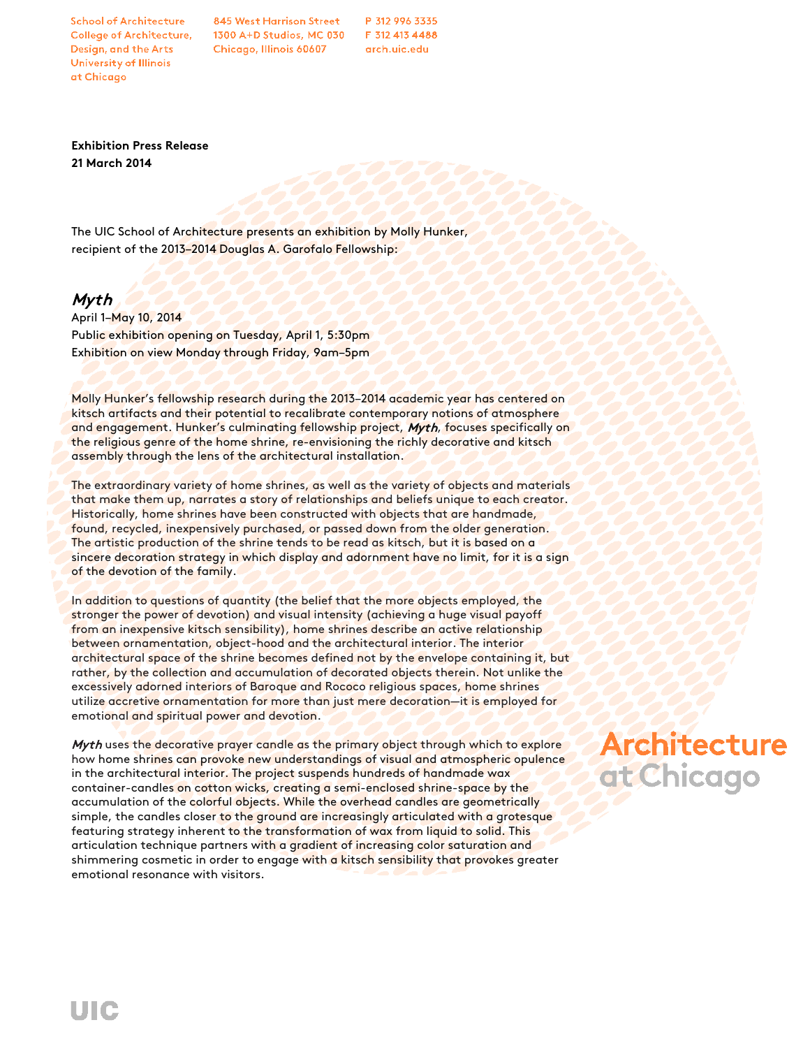**School of Architecture College of Architecture,** Design, and the Arts University of Illinois at Chicago

845 West Harrison Street 1300 A+D Studios, MC 030 Chicago, Illinois 60607

P 312 996 3335 F 312 413 4488 arch.uic.edu

**Exhibition Press Release 21 March 2014**

The UIC School of Architecture presents an exhibition by Molly Hunker, recipient of the 2013–2014 Douglas A. Garofalo Fellowship:

## Myth

April 1–May 10, 2014 Public exhibition opening on Tuesday, April 1, 5:30pm Exhibition on view Monday through Friday, 9am–5pm

Molly Hunker's fellowship research during the 2013–2014 academic year has centered on kitsch artifacts and their potential to recalibrate contemporary notions of atmosphere and engagement. Hunker's culminating fellowship project, Myth, focuses specifically on the religious genre of the home shrine, re-envisioning the richly decorative and kitsch assembly through the lens of the architectural installation.

The extraordinary variety of home shrines, as well as the variety of objects and materials that make them up, narrates a story of relationships and beliefs unique to each creator. Historically, home shrines have been constructed with objects that are handmade, found, recycled, inexpensively purchased, or passed down from the older generation. The artistic production of the shrine tends to be read as kitsch, but it is based on a sincere decoration strategy in which display and adornment have no limit, for it is a sign of the devotion of the family.

In addition to questions of quantity (the belief that the more objects employed, the stronger the power of devotion) and visual intensity (achieving a huge visual payoff from an inexpensive kitsch sensibility), home shrines describe an active relationship between ornamentation, object-hood and the architectural interior. The interior architectural space of the shrine becomes defined not by the envelope containing it, but rather, by the collection and accumulation of decorated objects therein. Not unlike the excessively adorned interiors of Baroque and Rococo religious spaces, home shrines utilize accretive ornamentation for more than just mere decoration—it is employed for emotional and spiritual power and devotion.

Myth uses the decorative prayer candle as the primary object through which to explore how home shrines can provoke new understandings of visual and atmospheric opulence in the architectural interior. The project suspends hundreds of handmade wax container-candles on cotton wicks, creating a semi-enclosed shrine-space by the accumulation of the colorful objects. While the overhead candles are geometrically simple, the candles closer to the ground are increasingly articulated with a grotesque featuring strategy inherent to the transformation of wax from liquid to solid. This articulation technique partners with a gradient of increasing color saturation and shimmering cosmetic in order to engage with a kitsch sensibility that provokes greater emotional resonance with visitors.

## **Architecture** at Chicago